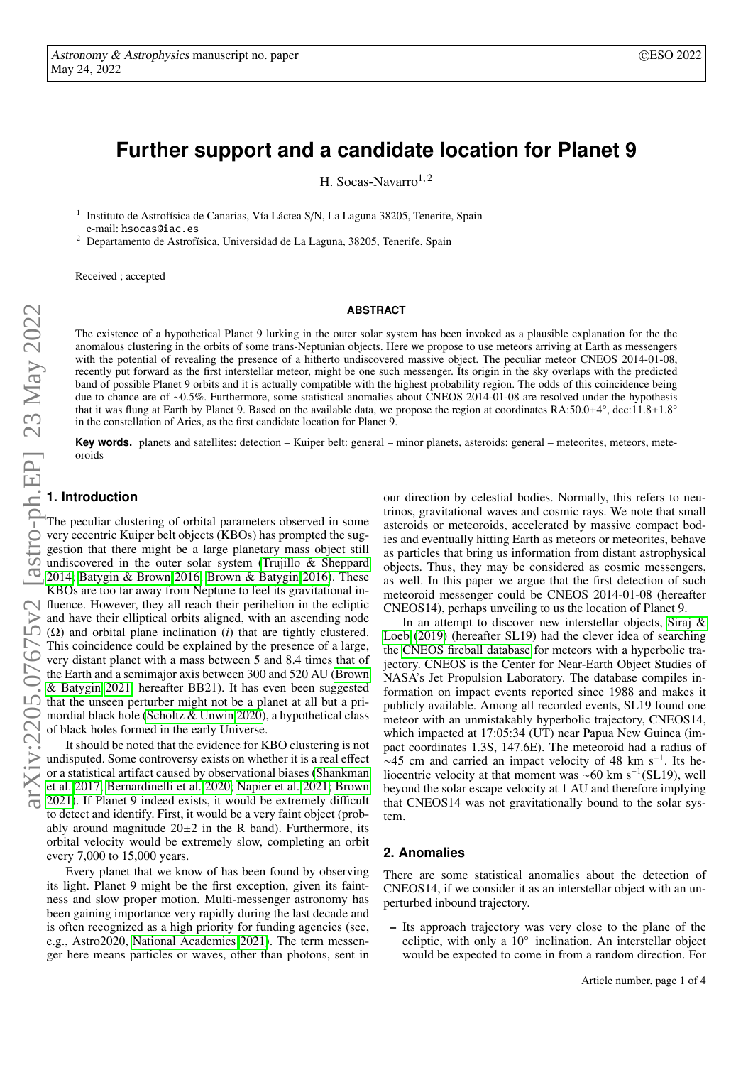# **Further support and a candidate location for Planet 9**

H. Socas-Navarro<sup>1,2</sup>

<sup>1</sup> Instituto de Astrofísica de Canarias, Vía Láctea S/N, La Laguna 38205, Tenerife, Spain e-mail: hsocas@iac.es

<sup>2</sup> Departamento de Astrofísica, Universidad de La Laguna, 38205, Tenerife, Spain

Received ; accepted

# **ABSTRACT**

The existence of a hypothetical Planet 9 lurking in the outer solar system has been invoked as a plausible explanation for the the anomalous clustering in the orbits of some trans-Neptunian objects. Here we propose to use meteors arriving at Earth as messengers with the potential of revealing the presence of a hitherto undiscovered massive object. The peculiar meteor CNEOS 2014-01-08, recently put forward as the first interstellar meteor, might be one such messenger. Its origin in the sky overlaps with the predicted band of possible Planet 9 orbits and it is actually compatible with the highest probability region. The odds of this coincidence being due to chance are of ∼0.5%. Furthermore, some statistical anomalies about CNEOS 2014-01-08 are resolved under the hypothesis that it was flung at Earth by Planet 9. Based on the available data, we propose the region at coordinates  $RA:50.0±4^{\circ}$ , dec:11.8±1.8° in the constellation of Aries, as the first candidate location for Planet 9.

**Key words.** planets and satellites: detection – Kuiper belt: general – minor planets, asteroids: general – meteorites, meteors, meteoroids

# **1. Introduction**

The peculiar clustering of orbital parameters observed in some very eccentric Kuiper belt objects (KBOs) has prompted the suggestion that there might be a large planetary mass object still undiscovered in the outer solar system [\(Trujillo & Sheppard](#page-3-0) [2014;](#page-3-0) [Batygin & Brown 2016;](#page-3-1) [Brown & Batygin 2016\)](#page-3-2). These KBOs are too far away from Neptune to feel its gravitational influence. However, they all reach their perihelion in the ecliptic and have their elliptical orbits aligned, with an ascending node (Ω) and orbital plane inclination (*i*) that are tightly clustered. This coincidence could be explained by the presence of a large, very distant planet with a mass between 5 and 8.4 times that of the Earth and a semimajor axis between 300 and 520 AU [\(Brown](#page-3-3) [& Batygin 2021,](#page-3-3) hereafter BB21). It has even been suggested that the unseen perturber might not be a planet at all but a primordial black hole [\(Scholtz & Unwin 2020\)](#page-3-4), a hypothetical class of black holes formed in the early Universe.

It should be noted that the evidence for KBO clustering is not undisputed. Some controversy exists on whether it is a real effect or a statistical artifact caused by observational biases [\(Shankman](#page-3-5) [et al. 2017;](#page-3-5) [Bernardinelli et al. 2020;](#page-3-6) [Napier et al. 2021;](#page-3-7) [Brown](#page-3-8) [2021\)](#page-3-8). If Planet 9 indeed exists, it would be extremely difficult to detect and identify. First, it would be a very faint object (probably around magnitude  $20\pm 2$  in the R band). Furthermore, its orbital velocity would be extremely slow, completing an orbit every 7,000 to 15,000 years.

Every planet that we know of has been found by observing its light. Planet 9 might be the first exception, given its faintness and slow proper motion. Multi-messenger astronomy has been gaining importance very rapidly during the last decade and is often recognized as a high priority for funding agencies (see, e.g., Astro2020, [National Academies 2021\)](#page-3-9). The term messenger here means particles or waves, other than photons, sent in

our direction by celestial bodies. Normally, this refers to neutrinos, gravitational waves and cosmic rays. We note that small asteroids or meteoroids, accelerated by massive compact bodies and eventually hitting Earth as meteors or meteorites, behave as particles that bring us information from distant astrophysical objects. Thus, they may be considered as cosmic messengers, as well. In this paper we argue that the first detection of such meteoroid messenger could be CNEOS 2014-01-08 (hereafter CNEOS14), perhaps unveiling to us the location of Planet 9.

In an attempt to discover new interstellar objects, [Siraj &](#page-3-10) [Loeb](#page-3-10) [\(2019\)](#page-3-10) (hereafter SL19) had the clever idea of searching the [CNEOS fireball database](#page-3-11) for meteors with a hyperbolic trajectory. CNEOS is the Center for Near-Earth Object Studies of NASA's Jet Propulsion Laboratory. The database compiles information on impact events reported since 1988 and makes it publicly available. Among all recorded events, SL19 found one meteor with an unmistakably hyperbolic trajectory, CNEOS14, which impacted at 17:05:34 (UT) near Papua New Guinea (impact coordinates 1.3S, 147.6E). The meteoroid had a radius of  $~\sim$ 45 cm and carried an impact velocity of 48 km s<sup>-1</sup>. Its heliocentric velocity at that moment was ~60 km s<sup>-1</sup>(SL19), well beyond the solar escape velocity at 1 AU and therefore implying that CNEOS14 was not gravitationally bound to the solar system.

#### <span id="page-0-0"></span>**2. Anomalies**

There are some statistical anomalies about the detection of CNEOS14, if we consider it as an interstellar object with an unperturbed inbound trajectory.

– Its approach trajectory was very close to the plane of the ecliptic, with only a 10° inclination. An interstellar object would be expected to come in from a random direction. For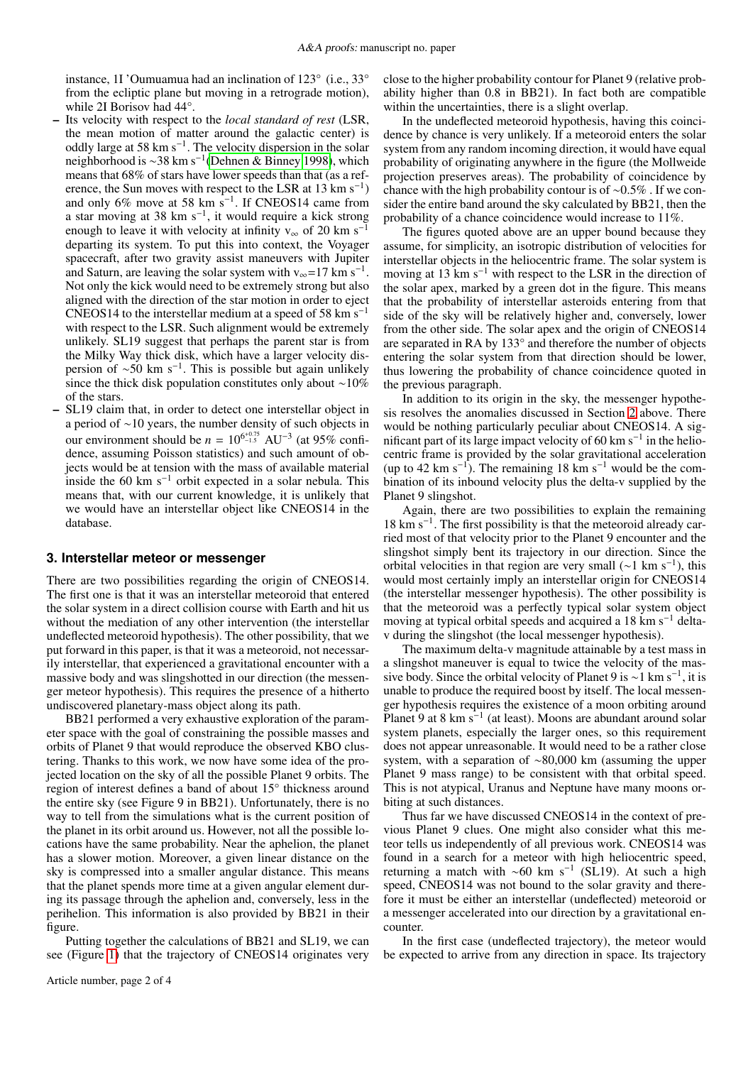instance, 1I 'Oumuamua had an inclination of 123° (i.e., 33° from the ecliptic plane but moving in a retrograde motion), while 2I Borisov had 44°.

- Its velocity with respect to the *local standard of rest* (LSR, the mean motion of matter around the galactic center) is oddly large at 58 km s−<sup>1</sup> . The velocity dispersion in the solar neighborhood is ∼38 km s−<sup>1</sup> [\(Dehnen & Binney 1998\)](#page-3-12), which means that 68% of stars have lower speeds than that (as a reference, the Sun moves with respect to the LSR at  $13 \text{ km s}^{-1}$ ) and only 6% move at 58 km  $s^{-1}$ . If CNEOS14 came from a star moving at 38 km  $s^{-1}$ , it would require a kick strong enough to leave it with velocity at infinity  $v_{\infty}$  of 20 km s<sup>-1</sup> departing its system. To put this into context, the Voyager spacecraft, after two gravity assist maneuvers with Jupiter and Saturn, are leaving the solar system with  $v_{\infty}$ =17 km s<sup>-1</sup>. Not only the kick would need to be extremely strong but also aligned with the direction of the star motion in order to eject CNEOS14 to the interstellar medium at a speed of 58 km s<sup>-1</sup> with respect to the LSR. Such alignment would be extremely unlikely. SL19 suggest that perhaps the parent star is from the Milky Way thick disk, which have a larger velocity dispersion of ~50 km s<sup>-1</sup>. This is possible but again unlikely since the thick disk population constitutes only about ∼10% of the stars.
- SL19 claim that, in order to detect one interstellar object in a period of ∼10 years, the number density of such objects in our environment should be  $n = 10^{6^{+0.75}}$  AU<sup>-3</sup> (at 95% confidence, assuming Poisson statistics) and such amount of objects would be at tension with the mass of available material inside the 60 km s<sup>-1</sup> orbit expected in a solar nebula. This means that, with our current knowledge, it is unlikely that we would have an interstellar object like CNEOS14 in the database.

#### **3. Interstellar meteor or messenger**

There are two possibilities regarding the origin of CNEOS14. The first one is that it was an interstellar meteoroid that entered the solar system in a direct collision course with Earth and hit us without the mediation of any other intervention (the interstellar undeflected meteoroid hypothesis). The other possibility, that we put forward in this paper, is that it was a meteoroid, not necessarily interstellar, that experienced a gravitational encounter with a massive body and was slingshotted in our direction (the messenger meteor hypothesis). This requires the presence of a hitherto undiscovered planetary-mass object along its path.

BB21 performed a very exhaustive exploration of the parameter space with the goal of constraining the possible masses and orbits of Planet 9 that would reproduce the observed KBO clustering. Thanks to this work, we now have some idea of the projected location on the sky of all the possible Planet 9 orbits. The region of interest defines a band of about 15° thickness around the entire sky (see Figure 9 in BB21). Unfortunately, there is no way to tell from the simulations what is the current position of the planet in its orbit around us. However, not all the possible locations have the same probability. Near the aphelion, the planet has a slower motion. Moreover, a given linear distance on the sky is compressed into a smaller angular distance. This means that the planet spends more time at a given angular element during its passage through the aphelion and, conversely, less in the perihelion. This information is also provided by BB21 in their figure.

Putting together the calculations of BB21 and SL19, we can see (Figure [1\)](#page-2-0) that the trajectory of CNEOS14 originates very close to the higher probability contour for Planet 9 (relative probability higher than 0.8 in BB21). In fact both are compatible within the uncertainties, there is a slight overlap.

In the undeflected meteoroid hypothesis, having this coincidence by chance is very unlikely. If a meteoroid enters the solar system from any random incoming direction, it would have equal probability of originating anywhere in the figure (the Mollweide projection preserves areas). The probability of coincidence by chance with the high probability contour is of ∼0.5% . If we consider the entire band around the sky calculated by BB21, then the probability of a chance coincidence would increase to 11%.

The figures quoted above are an upper bound because they assume, for simplicity, an isotropic distribution of velocities for interstellar objects in the heliocentric frame. The solar system is moving at 13 km s−<sup>1</sup> with respect to the LSR in the direction of the solar apex, marked by a green dot in the figure. This means that the probability of interstellar asteroids entering from that side of the sky will be relatively higher and, conversely, lower from the other side. The solar apex and the origin of CNEOS14 are separated in RA by 133° and therefore the number of objects entering the solar system from that direction should be lower, thus lowering the probability of chance coincidence quoted in the previous paragraph.

In addition to its origin in the sky, the messenger hypothesis resolves the anomalies discussed in Section [2](#page-0-0) above. There would be nothing particularly peculiar about CNEOS14. A significant part of its large impact velocity of 60 km s<sup>-1</sup> in the heliocentric frame is provided by the solar gravitational acceleration (up to 42 km s<sup>-1</sup>). The remaining 18 km s<sup>-1</sup> would be the combination of its inbound velocity plus the delta-v supplied by the Planet 9 slingshot.

Again, there are two possibilities to explain the remaining 18 km s<sup>−</sup><sup>1</sup> . The first possibility is that the meteoroid already carried most of that velocity prior to the Planet 9 encounter and the slingshot simply bent its trajectory in our direction. Since the orbital velocities in that region are very small (∼1 km s<sup>−</sup><sup>1</sup> ), this would most certainly imply an interstellar origin for CNEOS14 (the interstellar messenger hypothesis). The other possibility is that the meteoroid was a perfectly typical solar system object moving at typical orbital speeds and acquired a 18 km s<sup>-1</sup> deltav during the slingshot (the local messenger hypothesis).

The maximum delta-v magnitude attainable by a test mass in a slingshot maneuver is equal to twice the velocity of the massive body. Since the orbital velocity of Planet 9 is  $\sim$ 1 km s<sup>-1</sup>, it is unable to produce the required boost by itself. The local messenger hypothesis requires the existence of a moon orbiting around Planet 9 at 8 km s<sup>-1</sup> (at least). Moons are abundant around solar system planets, especially the larger ones, so this requirement does not appear unreasonable. It would need to be a rather close system, with a separation of ∼80,000 km (assuming the upper Planet 9 mass range) to be consistent with that orbital speed. This is not atypical, Uranus and Neptune have many moons orbiting at such distances.

Thus far we have discussed CNEOS14 in the context of previous Planet 9 clues. One might also consider what this meteor tells us independently of all previous work. CNEOS14 was found in a search for a meteor with high heliocentric speed, returning a match with ∼60 km s<sup>−</sup><sup>1</sup> (SL19). At such a high speed, CNEOS14 was not bound to the solar gravity and therefore it must be either an interstellar (undeflected) meteoroid or a messenger accelerated into our direction by a gravitational encounter.

In the first case (undeflected trajectory), the meteor would be expected to arrive from any direction in space. Its trajectory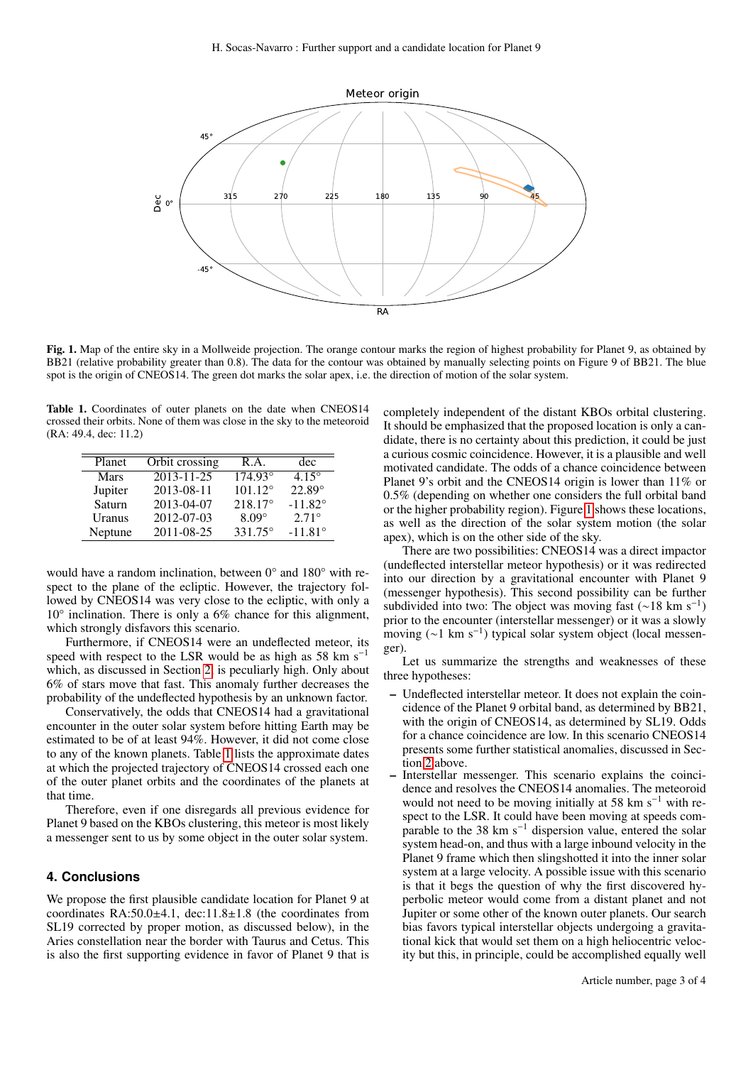

<span id="page-2-0"></span>Fig. 1. Map of the entire sky in a Mollweide projection. The orange contour marks the region of highest probability for Planet 9, as obtained by BB21 (relative probability greater than 0.8). The data for the contour was obtained by manually selecting points on Figure 9 of BB21. The blue spot is the origin of CNEOS14. The green dot marks the solar apex, i.e. the direction of motion of the solar system.

<span id="page-2-1"></span>Table 1. Coordinates of outer planets on the date when CNEOS14 crossed their orbits. None of them was close in the sky to the meteoroid (RA: 49.4, dec: 11.2)

| Planet      | Orbit crossing   | R.A.             | dec              |
|-------------|------------------|------------------|------------------|
| <b>Mars</b> | $2013 - 11 - 25$ | $174.93^{\circ}$ | $4.15^{\circ}$   |
| Jupiter     | 2013-08-11       | $101.12^{\circ}$ | $22.89^\circ$    |
| Saturn      | 2013-04-07       | $218.17^{\circ}$ | $-11.82^{\circ}$ |
| Uranus      | 2012-07-03       | $8.09^\circ$     | $2.71^{\circ}$   |
| Neptune     | 2011-08-25       | 331.75°          | $-11.81^{\circ}$ |

would have a random inclination, between 0° and 180° with respect to the plane of the ecliptic. However, the trajectory followed by CNEOS14 was very close to the ecliptic, with only a 10° inclination. There is only a 6% chance for this alignment, which strongly disfavors this scenario.

Furthermore, if CNEOS14 were an undeflected meteor, its speed with respect to the LSR would be as high as 58 km s<sup>-1</sup> which, as discussed in Section [2,](#page-0-0) is peculiarly high. Only about 6% of stars move that fast. This anomaly further decreases the probability of the undeflected hypothesis by an unknown factor.

Conservatively, the odds that CNEOS14 had a gravitational encounter in the outer solar system before hitting Earth may be estimated to be of at least 94%. However, it did not come close to any of the known planets. Table [1](#page-2-1) lists the approximate dates at which the projected trajectory of CNEOS14 crossed each one of the outer planet orbits and the coordinates of the planets at that time.

Therefore, even if one disregards all previous evidence for Planet 9 based on the KBOs clustering, this meteor is most likely a messenger sent to us by some object in the outer solar system.

# **4. Conclusions**

We propose the first plausible candidate location for Planet 9 at coordinates RA:50.0±4.1, dec:11.8±1.8 (the coordinates from SL19 corrected by proper motion, as discussed below), in the Aries constellation near the border with Taurus and Cetus. This is also the first supporting evidence in favor of Planet 9 that is

completely independent of the distant KBOs orbital clustering. It should be emphasized that the proposed location is only a candidate, there is no certainty about this prediction, it could be just a curious cosmic coincidence. However, it is a plausible and well motivated candidate. The odds of a chance coincidence between Planet 9's orbit and the CNEOS14 origin is lower than 11% or 0.5% (depending on whether one considers the full orbital band or the higher probability region). Figure [1](#page-2-0) shows these locations, as well as the direction of the solar system motion (the solar apex), which is on the other side of the sky.

There are two possibilities: CNEOS14 was a direct impactor (undeflected interstellar meteor hypothesis) or it was redirected into our direction by a gravitational encounter with Planet 9 (messenger hypothesis). This second possibility can be further subdivided into two: The object was moving fast (∼18 km s<sup>−</sup><sup>1</sup> ) prior to the encounter (interstellar messenger) or it was a slowly moving (~1 km s<sup>-1</sup>) typical solar system object (local messenger).

Let us summarize the strengths and weaknesses of these three hypotheses:

- Undeflected interstellar meteor. It does not explain the coincidence of the Planet 9 orbital band, as determined by BB21, with the origin of CNEOS14, as determined by SL19. Odds for a chance coincidence are low. In this scenario CNEOS14 presents some further statistical anomalies, discussed in Section [2](#page-0-0) above.
- Interstellar messenger. This scenario explains the coincidence and resolves the CNEOS14 anomalies. The meteoroid would not need to be moving initially at 58 km s<sup> $-1$ </sup> with respect to the LSR. It could have been moving at speeds comparable to the 38 km s<sup> $-1$ </sup> dispersion value, entered the solar system head-on, and thus with a large inbound velocity in the Planet 9 frame which then slingshotted it into the inner solar system at a large velocity. A possible issue with this scenario is that it begs the question of why the first discovered hyperbolic meteor would come from a distant planet and not Jupiter or some other of the known outer planets. Our search bias favors typical interstellar objects undergoing a gravitational kick that would set them on a high heliocentric velocity but this, in principle, could be accomplished equally well